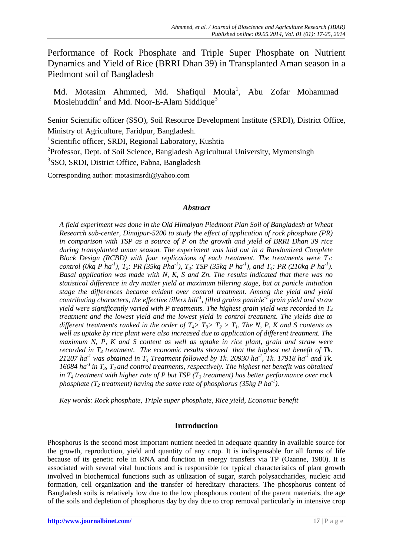Performance of Rock Phosphate and Triple Super Phosphate on Nutrient Dynamics and Yield of Rice (BRRI Dhan 39) in Transplanted Aman season in a Piedmont soil of Bangladesh

Md. Motasim Ahmmed, Md. Shafiqul Moula<sup>1</sup>, Abu Zofar Mohammad Moslehuddin<sup>2</sup> and Md. Noor-E-Alam Siddique<sup>3</sup>

Senior Scientific officer (SSO), Soil Resource Development Institute (SRDI), District Office, Ministry of Agriculture, Faridpur, Bangladesh.

<sup>1</sup>Scientific officer, SRDI, Regional Laboratory, Kushtia

<sup>2</sup>Professor, Dept. of Soil Science, Bangladesh Agricultural University, Mymensingh

<sup>3</sup>SSO, SRDI, District Office, Pabna, Bangladesh

Corresponding author: [motasimsrdi@yahoo.com](mailto:motasimsrdi@yahoo.com)

# *Abstract*

*A field experiment was done in the Old Himalyan Piedmont Plan Soil of Bangladesh at Wheat Research sub-center, Dinajpur-5200 to study the effect of application of rock phosphate (PR) in comparison with TSP as a source of P on the growth and yield of BRRI Dhan 39 rice during transplanted aman season. The experiment was laid out in a Randomized Complete Block Design (RCBD) with four replications of each treatment. The treatments were*  $T_i$ : *control (0kg P ha<sup>-1</sup>), T<sub>2</sub>: PR (35kg Pha<sup>-1</sup>), T<sub>3</sub>: TSP (35kg P ha<sup>-1</sup>), and T<sub>4</sub>: PR (210kg P ha<sup>-1</sup>). Basal application was made with N, K, S and Zn. The results indicated that there was no statistical difference in dry matter yield at maximum tillering stage, but at panicle initiation stage the differences became evident over control treatment. Among the yield and yield contributing characters, the effective tillers hill-1 , filled grains panicle-1 grain yield and straw yield were significantly varied with P treatments. The highest grain yield was recorded in T<sup>4</sup> treatment and the lowest yield and the lowest yield in control treatment. The yields due to different treatments ranked in the order of*  $T_4$ *>*  $T_3$ >  $T_2$  >  $T_1$ *. The N, P, K and S contents as well as uptake by rice plant were also increased due to application of different treatment. The maximum N, P, K and S content as well as uptake in rice plant, grain and straw were recorded in T<sup>4</sup> treatment. The economic results showed that the highest net benefit of Tk.*  21207 ha<sup>-1</sup> was obtained in  $T_4$  Treatment followed by Tk. 20930 ha<sup>-1</sup>, Tk. 17918 ha<sup>-1</sup> and Tk. *16084 ha-1 in T3, T2 and control treatments, respectively. The highest net benefit was obtained in T<sup>4</sup> treatment with higher rate of P but TSP (T<sup>3</sup> treatment) has better performance over rock phosphate (T<sup>2</sup> treatment) having the same rate of phosphorus (35kg P ha-1 ).*

*Key words: Rock phosphate, Triple super phosphate, Rice yield, Economic benefit*

# **Introduction**

Phosphorus is the second most important nutrient needed in adequate quantity in available source for the growth, reproduction, yield and quantity of any crop. It is indispensable for all forms of life because of its genetic role in RNA and function in energy transfers via TP (Ozanne, 1980). It is associated with several vital functions and is responsible for typical characteristics of plant growth involved in biochemical functions such as utilization of sugar, starch polysaccharides, nucleic acid formation, cell organization and the transfer of hereditary characters. The phosphorus content of Bangladesh soils is relatively low due to the low phosphorus content of the parent materials, the age of the soils and depletion of phosphorus day by day due to crop removal particularly in intensive crop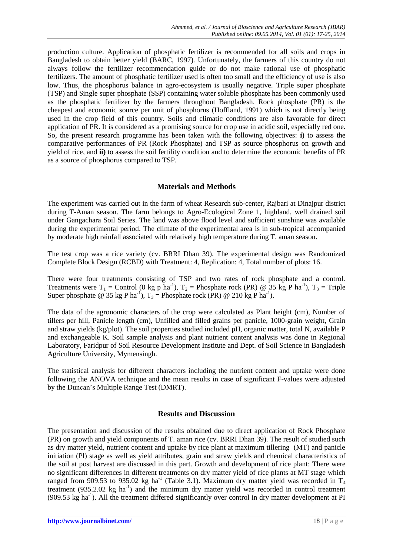production culture. Application of phosphatic fertilizer is recommended for all soils and crops in Bangladesh to obtain better yield (BARC, 1997). Unfortunately, the farmers of this country do not always follow the fertilizer recommendation guide or do not make rational use of phosphatic fertilizers. The amount of phosphatic fertilizer used is often too small and the efficiency of use is also low. Thus, the phosphorus balance in agro-ecosystem is usually negative. Triple super phosphate (TSP) and Single super phosphate (SSP) containing water soluble phosphate has been commonly used as the phosphatic fertilizer by the farmers throughout Bangladesh. Rock phosphate (PR) is the cheapest and economic source per unit of phosphorus (Hoffland, 1991) which is not directly being used in the crop field of this country. Soils and climatic conditions are also favorable for direct application of PR. It is considered as a promising source for crop use in acidic soil, especially red one. So, the present research programme has been taken with the following objectives: **i)** to assess the comparative performances of PR (Rock Phosphate) and TSP as source phosphorus on growth and yield of rice, and **ii)** to assess the soil fertility condition and to determine the economic benefits of PR as a source of phosphorus compared to TSP.

## **Materials and Methods**

The experiment was carried out in the farm of wheat Research sub-center, Rajbari at Dinajpur district during T-Aman season. The farm belongs to Agro-Ecological Zone 1, highland, well drained soil under Gangachara Soil Series. The land was above flood level and sufficient sunshine was available during the experimental period. The climate of the experimental area is in sub-tropical accompanied by moderate high rainfall associated with relatively high temperature during T. aman season.

The test crop was a rice variety (cv. BRRI Dhan 39). The experimental design was Randomized Complete Block Design (RCBD) with Treatment: 4, Replication: 4, Total number of plots: 16.

There were four treatments consisting of TSP and two rates of rock phosphate and a control. Treatments were  $T_1$  = Control (0 kg p ha<sup>-1</sup>),  $T_2$  = Phosphate rock (PR) @ 35 kg P ha<sup>-1</sup>),  $T_3$  = Triple Super phosphate @ 35 kg P ha<sup>-1</sup>),  $T_3$  = Phosphate rock (PR) @ 210 kg P ha<sup>-1</sup>).

The data of the agronomic characters of the crop were calculated as Plant height (cm), Number of tillers per hill, Panicle length (cm), Unfilled and filled grains per panicle, 1000-grain weight, Grain and straw yields (kg/plot). The soil properties studied included pH, organic matter, total N, available P and exchangeable K. Soil sample analysis and plant nutrient content analysis was done in Regional Laboratory, Faridpur of Soil Resource Development Institute and Dept. of Soil Science in Bangladesh Agriculture University, Mymensingh.

The statistical analysis for different characters including the nutrient content and uptake were done following the ANOVA technique and the mean results in case of significant F-values were adjusted by the Duncan's Multiple Range Test (DMRT).

### **Results and Discussion**

The presentation and discussion of the results obtained due to direct application of Rock Phosphate (PR) on growth and yield components of T. aman rice (cv. BRRI Dhan 39). The result of studied such as dry matter yield, nutrient content and uptake by rice plant at maximum tillering (MT) and panicle initiation (Pl) stage as well as yield attributes, grain and straw yields and chemical characteristics of the soil at post harvest are discussed in this part. Growth and development of rice plant: There were no significant differences in different treatments on dry matter yield of rice plants at MT stage which ranged from 909.53 to 935.02 kg ha<sup>-1</sup> (Table 3.1). Maximum dry matter yield was recorded in T<sub>4</sub> treatment (935.2.02 kg ha<sup>-1</sup>) and the minimum dry matter yield was recorded in control treatment (909.53 kg ha<sup>-1</sup>). All the treatment differed significantly over control in dry matter development at PI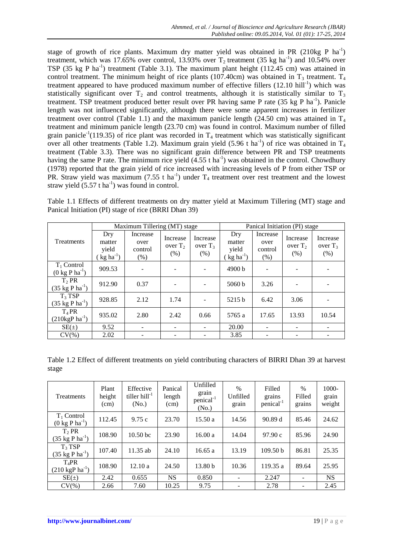stage of growth of rice plants. Maximum dry matter yield was obtained in PR  $(210 \text{kg} \text{ P} \text{ ha}^{-1})$ treatment, which was 17.65% over control, 13.93% over  $T_2$  treatment (35 kg ha<sup>-1</sup>) and 10.54% over TSP (35 kg P ha<sup>-1</sup>) treatment (Table 3.1). The maximum plant height (112.45 cm) was attained in control treatment. The minimum height of rice plants (107.40cm) was obtained in  $T_3$  treatment.  $T_4$ treatment appeared to have produced maximum number of effective fillers  $(12.10 \text{ hill}^{-1})$  which was statistically significant over  $T_2$  and control treatments, although it is statistically similar to  $T_3$ treatment. TSP treatment produced better result over PR having same P rate (35 kg P ha<sup>-1</sup>). Panicle length was not influenced significantly, although there were some apparent increases in fertilizer treatment over control (Table 1.1) and the maximum panicle length (24.50 cm) was attained in  $T_4$ treatment and minimum panicle length (23.70 cm) was found in control. Maximum number of filled grain panicle<sup>-1</sup>(119.35) of rice plant was recorded in  $T_4$  treatment which was statistically significant over all other treatments (Table 1.2). Maximum grain yield (5.96 t ha<sup>-1</sup>) of rice was obtained in  $T_4$ treatment (Table 3.3). There was no significant grain difference between PR and TSP treatments having the same P rate. The minimum rice yield  $(4.55 \text{ t ha}^{-1})$  was obtained in the control. Chowdhury (1978) reported that the grain yield of rice increased with increasing levels of P from either TSP or PR. Straw yield was maximum (7.55 t ha<sup>-1</sup>) under  $T_4$  treatment over rest treatment and the lowest straw yield  $(5.57 \text{ t ha}^{-1})$  was found in control.

Table 1.1 Effects of different treatments on dry matter yield at Maximum Tillering (MT) stage and Panical Initiation (PI) stage of rice (BRRI Dhan 39)

|                                                          |                                                    | Maximum Tillering (MT) stage           |                                |                                | Panical Initiation (PI) stage               |                                     |                                |                                |  |
|----------------------------------------------------------|----------------------------------------------------|----------------------------------------|--------------------------------|--------------------------------|---------------------------------------------|-------------------------------------|--------------------------------|--------------------------------|--|
| Treatments                                               | Dry<br>matter<br>yield<br>$k$ g ha <sup>-1</sup> ) | Increase<br>over<br>control<br>$(\% )$ | Increase<br>over $T_2$<br>(% ) | Increase<br>over $T_3$<br>(% ) | Dry<br>matter<br>yield<br>$kg \, ha^{-1}$ ) | Increase<br>over<br>control<br>(% ) | Increase<br>over $T_2$<br>(% ) | Increase<br>over $T_3$<br>(% ) |  |
| $T_1$ Control<br>$(0 \text{ kg } P \text{ ha}^{-1})$     | 909.53                                             |                                        |                                |                                | 4900 b                                      |                                     |                                |                                |  |
| T <sub>2</sub> PR<br>$(35 \text{ kg P} \text{ ha}^{-1})$ | 912.90                                             | 0.37                                   |                                |                                | 5060 b                                      | 3.26                                |                                |                                |  |
| $T_3$ TSP<br>$(35 \text{ kg P ha}^{-1})$                 | 928.85                                             | 2.12                                   | 1.74                           |                                | 5215 b                                      | 6.42                                | 3.06                           |                                |  |
| $T_4$ PR<br>$(210\text{kgP} \text{ha}^{-1})$             | 935.02                                             | 2.80                                   | 2.42                           | 0.66                           | 5765 a                                      | 17.65                               | 13.93                          | 10.54                          |  |
| $SE(\pm)$                                                | 9.52                                               |                                        |                                |                                | 20.00                                       |                                     |                                |                                |  |
| $CV(\%)$                                                 | 2.02                                               |                                        |                                |                                | 3.85                                        |                                     |                                |                                |  |

Table 1.2 Effect of different treatments on yield contributing characters of BIRRI Dhan 39 at harvest stage

| Treatments                                           | Plant<br>height<br>(cm) | Effective<br>tiller $hill^{-1}$<br>(N <sub>0</sub> ) | Panical<br>length<br>(cm) | Unfilled<br>grain<br>penical <sup>-1</sup><br>(N <sub>0</sub> ) | $\%$<br>Unfilled<br>grain | Filled<br>grains<br>penical <sup>-1</sup> | $\%$<br>Filled<br>grains | 1000-<br>grain<br>weight |
|------------------------------------------------------|-------------------------|------------------------------------------------------|---------------------------|-----------------------------------------------------------------|---------------------------|-------------------------------------------|--------------------------|--------------------------|
| $T_1$ Control<br>$(0 \text{ kg } P \text{ ha}^{-1})$ | 112.45                  | 9.75c                                                | 23.70                     | 15.50a                                                          | 14.56                     | 90.89 d                                   | 85.46                    | 24.62                    |
| $T_2$ PR<br>$(35 \text{ kg P ha}^{-1})$              | 108.90                  | 10.50 <sub>bc</sub>                                  | 23.90                     | 16.00a                                                          | 14.04                     | 97.90c                                    | 85.96                    | 24.90                    |
| T <sub>3</sub> TSP<br>$(35 \text{ kg P ha}^{-1})$    | 107.40                  | $11.35$ ab                                           | 24.10                     | 16.65a                                                          | 13.19                     | 109.50 b                                  | 86.81                    | 25.35                    |
| $T_4$ PR<br>$(210 \text{ kgP ha}^{-1})$              | 108.90                  | 12.10a                                               | 24.50                     | 13.80 <sub>b</sub>                                              | 10.36                     | 119.35 a                                  | 89.64                    | 25.95                    |
| $SE(\pm)$                                            | 2.42                    | 0.655                                                | <b>NS</b>                 | 0.850                                                           |                           | 2.247                                     | $\overline{\phantom{0}}$ | <b>NS</b>                |
| $CV(\%)$                                             | 2.66                    | 7.60                                                 | 10.25                     | 9.75                                                            |                           | 2.78                                      | -                        | 2.45                     |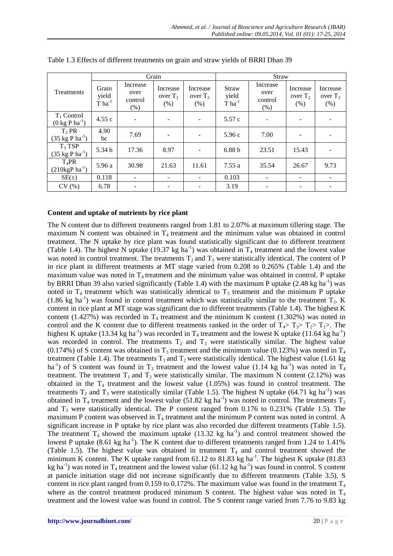|                                                      | Grain<br>Straw                                    |                                        |                                |                                |                                                   |                                     |                               |                                |
|------------------------------------------------------|---------------------------------------------------|----------------------------------------|--------------------------------|--------------------------------|---------------------------------------------------|-------------------------------------|-------------------------------|--------------------------------|
| Treatments                                           | Grain<br>yield<br>$\overline{T}$ ha <sup>-1</sup> | Increase<br>over<br>control<br>$(\% )$ | Increase<br>over $T_2$<br>(% ) | Increase<br>over $T_3$<br>(% ) | Straw<br>yield<br>$\overline{T}$ ha <sup>-1</sup> | Increase<br>over<br>control<br>(% ) | Increase<br>over $T2$<br>(% ) | Increase<br>over $T_3$<br>(% ) |
| $T_1$ Control<br>$(0 \text{ kg } P \text{ ha}^{-1})$ | 4.55c                                             |                                        | $\overline{\phantom{a}}$       | $\overline{\phantom{a}}$       | 5.57c                                             |                                     | $\overline{\phantom{m}}$      |                                |
| $T_2$ PR<br>$(35 \text{ kg P ha}^{-1})$              | 4.90<br>bc                                        | 7.69                                   | $\overline{\phantom{a}}$       |                                | 5.96c                                             | 7.00                                | $\qquad \qquad -$             |                                |
| $T_3$ TSP<br>$(35 \text{ kg P ha}^{-1})$             | 5.34 <sub>b</sub>                                 | 17.36                                  | 8.97                           |                                | 6.88 <sub>b</sub>                                 | 23.51                               | 15.43                         |                                |
| $T_4$ PR<br>$(210 \text{kgP} \text{ ha}^{-1})$       | 5.96 a                                            | 30.98                                  | 21.63                          | 11.61                          | 7.55a                                             | 35.54                               | 26.67                         | 9.73                           |
| $SE(\pm)$                                            | 0.118                                             | ۰                                      | -                              | $\overline{\phantom{m}}$       | 0.103                                             | ۰                                   | $\overline{\phantom{a}}$      |                                |
| CV(%)                                                | 6.78                                              |                                        |                                |                                | 3.19                                              |                                     |                               |                                |

Table 1.3 Effects of different treatments on grain and straw yields of BRRI Dhan 39

## **Content and uptake of nutrients by rice plant**

The N content due to different treatments ranged from 1.81 to 2.07% at maximum tillering stage. The maximum N content was obtained in  $T_4$  treatment and the minimum value was obtained in control treatment. The N uptake by rice plant was found statistically significant due to different treatment (Table 1.4). The highest N uptake (19.37 kg ha<sup>-1</sup>) was obtained in  $T_4$  treatment and the lowest value was noted in control treatment. The treatments  $T_2$  and  $T_3$  were statistically identical. The content of P in rice plant in different treatments at MT stage varied from 0.208 to 0.265% (Table 1.4) and the maximum value was noted in  $T_4$  treatment and the minimum value was obtained in control. P uptake by BRRI Dhan 39 also varied significantly (Table 1.4) with the maximum P uptake  $(2.48 \text{ kg ha}^{-1})$  was noted in  $T_4$  treatment which was statistically identical to  $T_3$  treatment and the minimum P uptake (1.86 kg ha<sup>-1</sup>) was found in control treatment which was statistically similar to the treatment  $T_2$ . K content in rice plant at MT stage was significant due to different treatments (Table 1.4). The highest K content (1.427%) was recorded in  $T_4$  treatment and the minimum K content (1.302%) was noted in control and the K content due to different treatments ranked in the order of  $T_4$ >  $T_3$ >  $T_2$ >  $T_1$ >. The highest K uptake (13.34 kg ha<sup>-1</sup>) was recorded in  $T_4$  treatment and the lowest K uptake (11.64 kg ha<sup>-1</sup>) was recorded in control. The treatments  $T_2$  and  $T_3$  were statistically similar. The highest value (0.174%) of S content was obtained in  $T_3$  treatment and the minimum value (0.123%) was noted in  $T_4$ treatment (Table 1.4). The treatments  $T_1$  and  $T_2$  were statistically identical. The highest value (1.61 kg) ha<sup>-1</sup>) of S content was found in T<sub>3</sub> treatment and the lowest value (1.14 kg ha<sup>-1</sup>) was noted in T<sub>4</sub> treatment. The treatment  $T_1$  and  $T_2$  were statistically similar. The maximum N content (2.12%) was obtained in the  $T_4$  treatment and the lowest value  $(1.05%)$  was found in control treatment. The treatments  $T_2$  and  $T_3$  were statistically similar (Table 1.5). The highest N uptake (64.71 kg ha<sup>-1</sup>) was obtained in T<sub>4</sub> treatment and the lowest value (51.82 kg ha<sup>-1</sup>) was noted in control. The treatments T<sub>2</sub> and  $T_3$  were statistically identical. The P content ranged from 0.176 to 0.231% (Table 1.5). The maximum P content was observed in  $T_4$  treatment and the minimum P content was noted in control. A significant increase in P uptake by rice plant was also recorded due different treatments (Table 1.5). The treatment  $T_4$  showed the maximum uptake (13.32 kg ha<sup>-1</sup>) and control treatment showed the lowest P uptake  $(8.61 \text{ kg ha}^{-1})$ . The K content due to different treatments ranged from 1.24 to 1.41% (Table 1.5). The highest value was obtained in treatment  $T<sub>4</sub>$  and control treatment showed the minimum K content. The K uptake ranged from  $61.12$  to  $81.83$  kg ha<sup>-1</sup>. The highest K uptake  $(81.83)$ kg ha<sup>-1</sup>) was noted in T<sub>4</sub> treatment and the lowest value (61.12 kg ha<sup>-1</sup>) was found in control. S content at panicle initiation stage did not increase significantly due to different treatments (Table 3.5). S content in rice plant ranged from 0.159 to 0.172%. The maximum value was found in the treatment  $T_4$ where as the control treatment produced minimum S content. The highest value was noted in  $T_4$ treatment and the lowest value was found in control. The S content range varied from 7.76 to 9.83 kg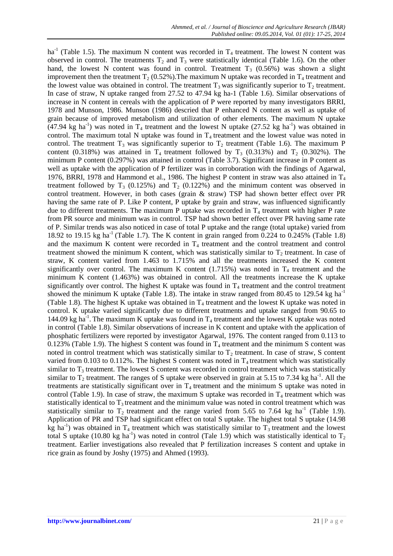ha<sup>-1</sup> (Table 1.5). The maximum N content was recorded in  $T_4$  treatment. The lowest N content was observed in control. The treatments  $T_2$  and  $T_3$  were statistically identical (Table 1.6). On the other hand, the lowest N content was found in control. Treatment  $T_3$  (0.56%) was shown a slight improvement then the treatment  $T_2$  (0.52%). The maximum N uptake was recorded in  $T_4$  treatment and the lowest value was obtained in control. The treatment  $T_3$  was significantly superior to  $T_2$  treatment. In case of straw, N uptake ranged from 27.52 to 47.94 kg ha-1 (Table 1.6). Similar observations of increase in N content in cereals with the application of P were reported by many investigators BRRI, 1978 and Munson, 1986. Munson (1986) descried that P enhanced N content as well as uptake of grain because of improved metabolism and utilization of other elements. The maximum N uptake  $(47.94 \text{ kg ha}^{-1})$  was noted in T<sub>4</sub> treatment and the lowest N uptake  $(27.52 \text{ kg ha}^{-1})$  was obtained in control. The maximum total N uptake was found in  $T_4$  treatment and the lowest value was noted in control. The treatment  $T_3$  was significantly superior to  $T_2$  treatment (Table 1.6). The maximum P content (0.318%) was attained in  $T_4$  treatment followed by  $T_3$  (0.313%) and  $T_2$  (0.302%). The minimum P content (0.297%) was attained in control (Table 3.7). Significant increase in P content as well as uptake with the application of P fertilizer was in corroboration with the findings of Agarwal, 1976, BRRI, 1978 and Hammond et al., 1986. The highest P content in straw was also attained in  $T_4$ treatment followed by  $T_3$  (0.125%) and  $T_2$  (0.122%) and the minimum content was observed in control treatment. However, in both cases (grain & straw) TSP had shown better effect over PR having the same rate of P. Like P content, P uptake by grain and straw, was influenced significantly due to different treatments. The maximum P uptake was recorded in  $T_4$  treatment with higher P rate from PR source and minimum was in control. TSP had shown better effect over PR having same rate of P. Similar trends was also noticed in case of total P uptake and the range (total uptake) varied from 18.92 to 19.15 kg ha-1 (Table 1.7). The K content in grain ranged from 0.224 to 0.245% (Table 1.8) and the maximum K content were recorded in  $T_4$  treatment and the control treatment and control treatment showed the minimum K content, which was statistically similar to  $T_2$  treatment. In case of straw, K content varied from 1.463 to 1.715% and all the treatments increased the K content significantly over control. The maximum K content  $(1.715%)$  was noted in T<sub>4</sub> treatment and the minimum K content (1.463%) was obtained in control. All the treatments increase the K uptake significantly over control. The highest K uptake was found in  $T_4$  treatment and the control treatment showed the minimum K uptake (Table 1.8). The intake in straw ranged from 80.45 to 129.54 kg ha<sup>-1</sup> (Table 1.8). The highest K uptake was obtained in  $T_4$  treatment and the lowest K uptake was noted in control. K uptake varied significantly due to different treatments and uptake ranged from 90.65 to 144.09 kg ha<sup>-1</sup>. The maximum K uptake was found in  $T_4$  treatment and the lowest K uptake was noted in control (Table 1.8). Similar observations of increase in K content and uptake with the application of phosphatic fertilizers were reported by investigator Agarwal, 1976. The content ranged from 0.113 to 0.123% (Table 1.9). The highest S content was found in  $T_4$  treatment and the minimum S content was noted in control treatment which was statistically similar to  $T_2$  treatment. In case of straw, S content varied from 0.103 to 0.112%. The highest S content was noted in  $T_4$  treatment which was statistically similar to  $T_3$  treatment. The lowest S content was recorded in control treatment which was statistically similar to  $T_2$  treatment. The ranges of S uptake were observed in grain at 5.15 to 7.34 kg ha<sup>-1</sup>. All the treatments are statistically significant over in  $T<sub>4</sub>$  treatment and the minimum S uptake was noted in control (Table 1.9). In case of straw, the maximum S uptake was recorded in  $T_4$  treatment which was statistically identical to  $T_3$  treatment and the minimum value was noted in control treatment which was statistically similar to  $T_2$  treatment and the range varied from 5.65 to 7.64 kg ha<sup>-1</sup> (Table 1.9). Application of PR and TSP had significant effect on total S uptake. The highest total S uptake (14.98  $kg$  ha<sup>-1</sup>) was obtained in T<sub>4</sub> treatment which was statistically similar to T<sub>3</sub> treatment and the lowest total S uptake (10.80 kg ha<sup>-1</sup>) was noted in control (Tale 1.9) which was statistically identical to T<sub>2</sub> treatment. Earlier investigations also revealed that P fertilization increases S content and uptake in rice grain as found by Joshy (1975) and Ahmed (1993).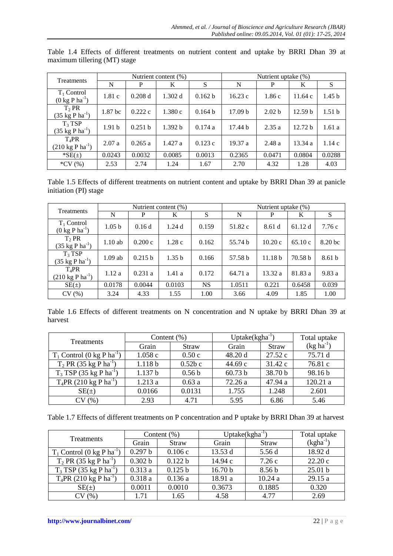| Treatments                                               |                    |         | Nutrient content $(\%)$ |         | Nutrient uptake (%) |                   |                    |                   |
|----------------------------------------------------------|--------------------|---------|-------------------------|---------|---------------------|-------------------|--------------------|-------------------|
|                                                          | N                  | P       | K                       | S       | N                   | P                 | K                  | S                 |
| $T_1$ Control<br>$(0 \text{ kg } P \text{ ha}^{-1})$     | 1.81c              | 0.208 d | 1.302 d                 | 0.162 b | 16.23c              | 1.86c             | 11.64c             | 1.45 <sub>b</sub> |
| T <sub>2</sub> PR<br>$(35 \text{ kg P} \text{ ha}^{-1})$ | 1.87 <sub>bc</sub> | 0.222c  | 1.380c                  | 0.164 b | 17.09 <sub>b</sub>  | 2.02 <sub>b</sub> | 12.59 <sub>b</sub> | 1.51 <sub>b</sub> |
| $T_3$ TSP<br>$(35 \text{ kg P} \text{ ha}^{-1})$         | 1.91 <sub>b</sub>  | 0.251 b | 1.392 b                 | 0.174a  | 17.44 b             | 2.35a             | 12.72 b            | 1.61a             |
| $T_4$ PR<br>$(210 \text{ kg} \text{ P} \text{ ha}^{-1})$ | 2.07a              | 0.265a  | 1.427a                  | 0.123c  | 19.37a              | 2.48a             | 13.34a             | 1.14c             |
| $*SE(\pm)$                                               | 0.0243             | 0.0032  | 0.0085                  | 0.0013  | 0.2365              | 0.0471            | 0.0804             | 0.0288            |
| $*CV(%)$                                                 | 2.53               | 2.74    | 1.24                    | 1.67    | 2.70                | 4.32              | 1.28               | 4.03              |

Table 1.4 Effects of different treatments on nutrient content and uptake by BRRI Dhan 39 at maximum tillering (MT) stage

Table 1.5 Effects of different treatments on nutrient content and uptake by BRRI Dhan 39 at panicle initiation (PI) stage

| <b>Treatments</b>                                        |                   |         | Nutrient content (%) |           | Nutrient uptake (%) |                    |         |                   |
|----------------------------------------------------------|-------------------|---------|----------------------|-----------|---------------------|--------------------|---------|-------------------|
|                                                          | N                 | P       | K                    | S         | N                   | P                  | K       | S                 |
| $T_1$ Control<br>$(0 \text{ kg } P \text{ ha}^{-1})$     | 1.05 <sub>b</sub> | 0.16d   | 1.24d                | 0.159     | 51.82 c             | 8.61d              | 61.12 d | 7.76c             |
| $T_2$ PR<br>$(35 \text{ kg P} \text{ ha}^{-1})$          | $1.10$ ab         | 0.200c  | 1.28c                | 0.162     | 55.74 b             | 10.20c             | 65.10c  | 8.20 bc           |
| $T_3$ TSP<br>$(35 \text{ kg P ha}^{-1})$                 | $1.09$ ab         | 0.215 b | 1.35 <sub>b</sub>    | 0.166     | 57.58 b             | 11.18 <sub>b</sub> | 70.58 b | 8.61 <sub>b</sub> |
| $T_4$ PR<br>$(210 \text{ kg} \text{ P} \text{ ha}^{-1})$ | 1.12a             | 0.231a  | 1.41a                | 0.172     | 64.71 a             | 13.32 a            | 81.83 a | 9.83a             |
| $SE(\pm)$                                                | 0.0178            | 0.0044  | 0.0103               | <b>NS</b> | 1.0511              | 0.221              | 0.6458  | 0.039             |
| CV(%)                                                    | 3.24              | 4.33    | 1.55                 | 1.00      | 3.66                | 4.09               | 1.85    | 1.00              |

Table 1.6 Effects of different treatments on N concentration and N uptake by BRRI Dhan 39 at harvest

| <b>Treatments</b>                        | Content $(\%)$     |                   | $Uptake(kgha^{-1})$ |              | Total uptake   |
|------------------------------------------|--------------------|-------------------|---------------------|--------------|----------------|
|                                          | Grain              | <b>Straw</b>      | Grain               | <b>Straw</b> | $(kg ha^{-1})$ |
| $T_1$ Control (0 kg P ha <sup>-1</sup> ) | 1.058c             | 0.50c             | 48.20 d             | 27.52c       | 75.71 d        |
| $T_2$ PR (35 kg P ha <sup>-1</sup> )     | 1.118 <sub>b</sub> | $0.52b$ c         | 44.69c              | 31.42c       | 76.81 c        |
| $T_3$ TSP (35 kg P ha <sup>-1</sup> )    | 1.137 b            | 0.56 <sub>b</sub> | 60.73 b             | 38.70 b      | 98.16 b        |
| $T_4$ PR (210 kg P ha <sup>-1</sup> )    | 1.213a             | 0.63a             | 72.26 a             | 47.94 a      | 120.21 a       |
| $SE(\pm)$                                | 0.0166             | 0.0131            | 1.755               | 1.248        | 2.601          |
| CV(%)                                    | 2.93               | 4.71              | 5.95                | 6.86         | 5.46           |

Table 1.7 Effects of different treatments on P concentration and P uptake by BRRI Dhan 39 at harvest

| <b>Treatments</b>                        |         | Content $(\%)$ | $Uptake(kgha^{-1})$ |              | Total uptake  |
|------------------------------------------|---------|----------------|---------------------|--------------|---------------|
|                                          | Grain   | <b>Straw</b>   | Grain               | <b>Straw</b> | $(kgha^{-1})$ |
| $T_1$ Control (0 kg P ha <sup>-1</sup> ) | 0.297 b | 0.106c         | 13.53 d             | 5.56 d       | 18.92 d       |
| $T_2$ PR (35 kg P ha <sup>-1</sup> )     | 0.302 b | 0.122 b        | 14.94c              | 7.26c        | 22.20c        |
| $T_3$ TSP (35 kg P ha <sup>-1</sup> )    | 0.313a  | 0.125 b        | 16.70 <sub>b</sub>  | 8.56 b       | 25.01 b       |
| $T_4$ PR (210 kg P ha <sup>-1</sup> )    | 0.318a  | 0.136a         | 18.91 a             | 10.24a       | 29.15 a       |
| $SE(\pm)$                                | 0.0011  | 0.0010         | 0.3673              | 0.1885       | 0.320         |
| CV(%)                                    | 1.71    | 1.65           | 4.58                | 4.77         | 2.69          |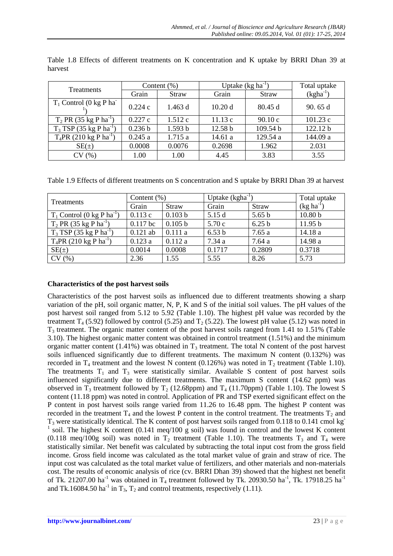| <b>Treatments</b>                     |         | Content $(\%)$ | Uptake $(kg ha^{-1})$ |              | Total uptake  |
|---------------------------------------|---------|----------------|-----------------------|--------------|---------------|
|                                       | Grain   | <b>Straw</b>   | Grain                 | <b>Straw</b> | $(kgha^{-1})$ |
| $T_1$ Control (0 kg P ha <sup>-</sup> | 0.224c  | 1.463 d        | 10.20d                | 80.45 d      | 90.65 d       |
| $T_2$ PR (35 kg P ha <sup>-1</sup> )  | 0.227c  | 1.512c         | 11.13c                | 90.10c       | 101.23c       |
| $T_3$ TSP (35 kg P ha <sup>-1</sup> ) | 0.236 b | 1.593 b        | 12.58 b               | 109.54 b     | 122.12 b      |
| $T_4$ PR (210 kg P ha <sup>-1</sup> ) | 0.245a  | 1.715a         | 14.61 a               | 129.54 a     | 144.09 a      |
| $SE(\pm)$                             | 0.0008  | 0.0076         | 0.2698                | 1.962        | 2.031         |
| CV(%)                                 | 1.00    | 1.00           | 4.45                  | 3.83         | 3.55          |

Table 1.8 Effects of different treatments on K concentration and K uptake by BRRI Dhan 39 at harvest

Table 1.9 Effects of different treatments on S concentration and S uptake by BRRI Dhan 39 at harvest

| <b>Treatments</b>                        | Content $(\%)$ |         |                   | Uptake $(kgha^{-1})$ |                    |  |
|------------------------------------------|----------------|---------|-------------------|----------------------|--------------------|--|
|                                          | Grain          | Straw   | Grain             | Straw                | $(kg ha^{-1})$     |  |
| $T_1$ Control (0 kg P ha <sup>-1</sup> ) | 0.113c         | 0.103 b | 5.15 d            | 5.65 <sub>b</sub>    | 10.80 <sub>b</sub> |  |
| $T_2$ PR (35 kg P ha <sup>-1</sup> )     | $0.117$ bc     | 0.105 b | 5.70 c            | 6.25 <sub>b</sub>    | 11.95 b            |  |
| $T_3$ TSP (35 kg P ha <sup>-1</sup> )    | $0.121$ ab     | 0.111a  | 6.53 <sub>b</sub> | 7.65a                | 14.18 a            |  |
| $T_4$ PR (210 kg P ha <sup>-1</sup> )    | 0.123a         | 0.112a  | 7.34 a            | 7.64 a               | 14.98 a            |  |
| $SE(\pm)$                                | 0.0014         | 0.0008  | 0.1717            | 0.2809               | 0.3718             |  |
| CV(%)                                    | 2.36           | 1.55    | 5.55              | 8.26                 | 5.73               |  |

### **Characteristics of the post harvest soils**

Characteristics of the post harvest soils as influenced due to different treatments showing a sharp variation of the pH, soil organic matter, N, P, K and S of the initial soil values. The pH values of the post harvest soil ranged from 5.12 to 5.92 (Table 1.10). The highest pH value was recorded by the treatment  $T_4$  (5.92) followed by control (5.25) and  $T_2$  (5.22). The lowest pH value (5.12) was noted in T<sup>3</sup> treatment. The organic matter content of the post harvest soils ranged from 1.41 to 1.51% (Table 3.10). The highest organic matter content was obtained in control treatment (1.51%) and the minimum organic matter content (1.41%) was obtained in  $T_3$  treatment. The total N content of the post harvest soils influenced significantly due to different treatments. The maximum N content (0.132%) was recorded in  $T_4$  treatment and the lowest N content (0.126%) was noted in  $T_2$  treatment (Table 1.10). The treatments  $T_1$  and  $T_3$  were statistically similar. Available S content of post harvest soils influenced significantly due to different treatments. The maximum S content (14.62 ppm) was observed in  $T_3$  treatment followed by  $T_2$  (12.68ppm) and  $T_4$  (11.70ppm) (Table 1.10). The lowest S content (11.18 ppm) was noted in control. Application of PR and TSP exerted significant effect on the P content in post harvest soils range varied from 11.26 to 16.48 ppm. The highest P content was recorded in the treatment  $T_4$  and the lowest P content in the control treatment. The treatments  $T_2$  and T<sub>3</sub> were statistically identical. The K content of post harvest soils ranged from 0.118 to 0.141 cmol kg<sup>-</sup> <sup>1</sup> soil. The highest K content (0.141 meq/100 g soil) was found in control and the lowest K content (0.118 meq/100g soil) was noted in  $T_2$  treatment (Table 1.10). The treatments  $T_3$  and  $T_4$  were statistically similar. Net benefit was calculated by subtracting the total input cost from the gross field income. Gross field income was calculated as the total market value of grain and straw of rice. The input cost was calculated as the total market value of fertilizers, and other materials and non-materials cost. The results of economic analysis of rice (cv. BRRI Dhan 39) showed that the highest net benefit of Tk. 21207.00 ha<sup>-1</sup> was obtained in T<sub>4</sub> treatment followed by Tk. 20930.50 ha<sup>-1</sup>, Tk. 17918.25 ha<sup>-1</sup> and Tk.16084.50 ha<sup>-1</sup> in  $T_3$ ,  $T_2$  and control treatments, respectively (1.11).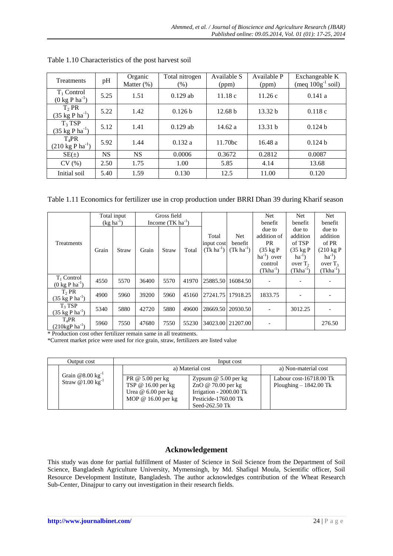| <b>Treatments</b>                                        | pH        | Organic<br>Matter $(\%)$ | Total nitrogen<br>(% ) | Available S<br>(ppm) | Available P<br>(ppm) | Exchangeable K<br>(meq $100g^{-1}$ soil) |
|----------------------------------------------------------|-----------|--------------------------|------------------------|----------------------|----------------------|------------------------------------------|
| $T_1$ Control<br>$(0 \text{ kg } P \text{ ha}^{-1})$     | 5.25      | 1.51                     | $0.129$ ab             | 11.18c               | 11.26c               | 0.141a                                   |
| $T_2$ PR<br>$(35 \text{ kg P} \text{ ha}^{-1})$          | 5.22      | 1.42                     | 0.126 b                | 12.68 b              | 13.32 <sub>b</sub>   | 0.118c                                   |
| $T_3$ TSP<br>$(35 \text{ kg P ha}^{-1})$                 | 5.12      | 1.41                     | $0.129$ ab             | 14.62 a              | 13.31 h              | 0.124h                                   |
| $T_4$ PR<br>$(210 \text{ kg} \text{ P} \text{ ha}^{-1})$ | 5.92      | 1.44                     | 0.132a                 | 11.70bc              | 16.48a               | 0.124h                                   |
| $SE(\pm)$                                                | <b>NS</b> | <b>NS</b>                | 0.0006                 | 0.3672               | 0.2812               | 0.0087                                   |
| CV(%)                                                    | 2.50      | 1.75                     | 1.00                   | 5.85                 | 4.14                 | 13.68                                    |
| Initial soil                                             | 5.40      | 1.59                     | 0.130                  | 12.5                 | 11.00                | 0.120                                    |

| Table 1.10 Characteristics of the post harvest soil |
|-----------------------------------------------------|
|-----------------------------------------------------|

Table 1.11 Economics for fertilizer use in crop production under BRRI Dhan 39 during Kharif season

|                                     |                | Total input |       | Gross field           |       |                   |                   | Net                | Net                | <b>Net</b>          |
|-------------------------------------|----------------|-------------|-------|-----------------------|-------|-------------------|-------------------|--------------------|--------------------|---------------------|
|                                     | $(kg ha^{-1})$ |             |       | Income $(TK ha^{-1})$ |       |                   |                   | benefit            | benefit            | benefit             |
|                                     |                |             |       |                       |       |                   |                   | due to             | due to             | due to              |
|                                     |                |             |       |                       |       | Total             | Net               | addition of        | addition           | addition            |
| Treatments                          |                |             |       |                       |       | input cost        | benefit           | <b>PR</b>          | of TSP             | of PR               |
|                                     | Grain          | Straw       | Grain | Straw                 | Total | $(Tk ha^{-1})$    | $(Tk ha^{-1})$    | $(35 \text{ kg} P$ | $(35 \text{ kg} P$ | $(210 \text{ kg} P$ |
|                                     |                |             |       |                       |       |                   |                   | $ha^{-1}$ ) over   | $ha^{-1}$          | $ha^{-1}$           |
|                                     |                |             |       |                       |       |                   |                   | control            | over $T2$          | over $T_3$          |
|                                     |                |             |       |                       |       |                   |                   | $(Tkha^{-1})$      | $(Tkha^{-1})$      | (Tkha <sup>-1</sup> |
| $T_1$ Control                       | 4550           | 5570        | 36400 | 5570                  | 41970 | 25885.50 16084.50 |                   |                    |                    |                     |
| $(0 \text{ kg } P \text{ ha}^{-1})$ |                |             |       |                       |       |                   |                   |                    |                    |                     |
| $T_2$ PR                            | 4900           | 5960        | 39200 | 5960                  | 45160 | 27241.75          | 17918.25          | 1833.75            |                    |                     |
| $(35 \text{ kg P ha}^{-1})$         |                |             |       |                       |       |                   |                   |                    |                    |                     |
| $T_3$ TSP                           | 5340           | 5880        | 42720 | 5880                  | 49600 | 28669.50 20930.50 |                   |                    | 3012.25            |                     |
| $(35 \text{ kg P ha}^{-1})$         |                |             |       |                       |       |                   |                   |                    |                    |                     |
| $T_4$ PR                            | 5960           | 7550        | 47680 | 7550                  | 55230 |                   | 34023.00 21207.00 |                    |                    | 276.50              |
| $(210 \text{kgP} \text{ ha}^{-1})$  |                |             |       |                       |       |                   |                   |                    |                    |                     |

\* Production cost other fertilizer remain same in all treatments.

\*Current market price were used for rice grain, straw, fertilizers are listed value

| Output cost |                                                                | Input cost                                                                            |                                                                                                                     |                                                               |
|-------------|----------------------------------------------------------------|---------------------------------------------------------------------------------------|---------------------------------------------------------------------------------------------------------------------|---------------------------------------------------------------|
|             | Grain $@8.00 \text{ kg}^{-1}$<br>Straw $@1.00 \text{ kg}^{-1}$ | a) Material cost                                                                      |                                                                                                                     | a) Non-material cost                                          |
|             |                                                                | PR @ $5.00$ per kg<br>TSP @ 16.00 per kg<br>Urea $@6.00$ per kg<br>MOP @ 16.00 per kg | Zypsum $@$ 5.00 per kg<br>ZnO @ $70.00$ per kg<br>Irrigation - 2000.00 Tk<br>Pesticide-1760.00 Tk<br>Seed-262.50 Tk | Labour cost- $16718.00 \text{ Tk}$<br>Ploughing $-1842.00$ Tk |

# **Acknowledgement**

This study was done for partial fulfillment of Master of Science in Soil Science from the Department of Soil Science, Bangladesh Agriculture University, Mymensingh, by Md. Shafiqul Moula, Scientific officer, Soil Resource Development Institute, Bangladesh. The author acknowledges contribution of the Wheat Research Sub-Center, Dinajpur to carry out investigation in their research fields.